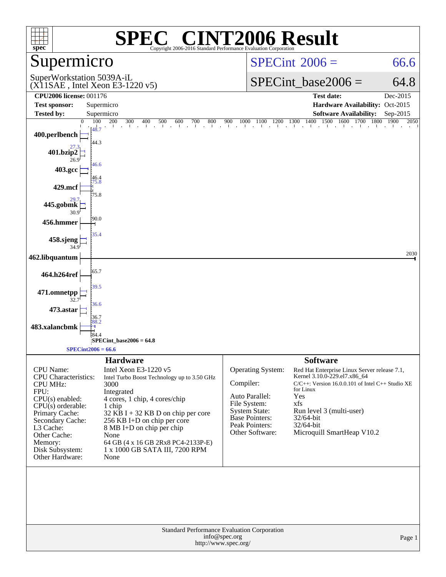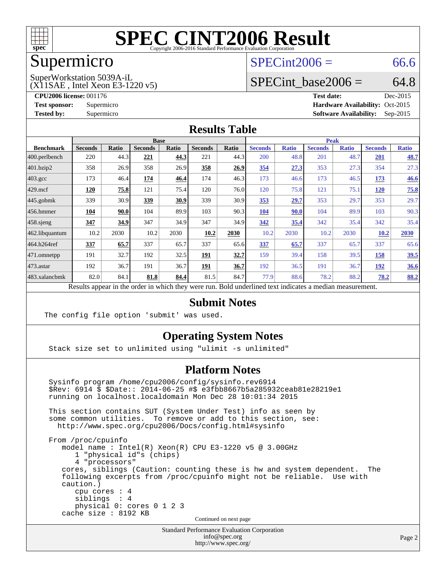

### Supermicro

#### $SPECint2006 = 66.6$  $SPECint2006 = 66.6$

(X11SAE , Intel Xeon E3-1220 v5) SuperWorkstation 5039A-iL

SPECint base2006 =  $64.8$ 

**[CPU2006 license:](http://www.spec.org/auto/cpu2006/Docs/result-fields.html#CPU2006license)** 001176 **[Test date:](http://www.spec.org/auto/cpu2006/Docs/result-fields.html#Testdate)** Dec-2015 **[Test sponsor:](http://www.spec.org/auto/cpu2006/Docs/result-fields.html#Testsponsor)** Supermicro Supermicro **[Hardware Availability:](http://www.spec.org/auto/cpu2006/Docs/result-fields.html#HardwareAvailability)** Oct-2015 **[Tested by:](http://www.spec.org/auto/cpu2006/Docs/result-fields.html#Testedby)** Supermicro **Supermicro [Software Availability:](http://www.spec.org/auto/cpu2006/Docs/result-fields.html#SoftwareAvailability)** Sep-2015

#### **[Results Table](http://www.spec.org/auto/cpu2006/Docs/result-fields.html#ResultsTable)**

|                       | <b>Base</b>    |       |                                                                                                          |              |                |             | <b>Peak</b>    |              |                |              |                |              |
|-----------------------|----------------|-------|----------------------------------------------------------------------------------------------------------|--------------|----------------|-------------|----------------|--------------|----------------|--------------|----------------|--------------|
| <b>Benchmark</b>      | <b>Seconds</b> | Ratio | <b>Seconds</b>                                                                                           | <b>Ratio</b> | <b>Seconds</b> | Ratio       | <b>Seconds</b> | <b>Ratio</b> | <b>Seconds</b> | <b>Ratio</b> | <b>Seconds</b> | <b>Ratio</b> |
| 400.perlbench         | 220            | 44.3  | 221                                                                                                      | 44.3         | 221            | 44.3        | 200            | 48.8         | 201            | 48.7         | 201            | 48.7         |
| 401.bzip2             | 358            | 26.9  | 358                                                                                                      | 26.9         | 358            | 26.9        | 354            | 27.3         | 353            | 27.3         | 354            | 27.3         |
| $403.\mathrm{gcc}$    | 173            | 46.4  | 174                                                                                                      | 46.4         | 174            | 46.3        | 173            | 46.6         | 173            | 46.5         | 173            | 46.6         |
| $429$ .mcf            | 120            | 75.8  | 121                                                                                                      | 75.4         | 120            | 76.0        | 120            | 75.8         | 121            | 75.1         | <u>120</u>     | 75.8         |
| $ 445.\text{gobmk} $  | 339            | 30.9  | 339                                                                                                      | 30.9         | 339            | 30.9        | 353            | 29.7         | 353            | 29.7         | 353            | 29.7         |
| $ 456$ .hmmer         | 104            | 90.0  | 104                                                                                                      | 89.9         | 103            | 90.3        | 104            | 90.0         | 104            | 89.9         | 103            | 90.3         |
| $ 458 \text{.}$ sjeng | 347            | 34.9  | 347                                                                                                      | 34.9         | 347            | 34.9        | 342            | 35.4         | 342            | 35.4         | 342            | 35.4         |
| 462.libquantum        | 10.2           | 2030  | 10.2                                                                                                     | 2030         | 10.2           | 2030        | 10.2           | 2030         | 10.2           | 2030         | 10.2           | 2030         |
| 464.h264ref           | 337            | 65.7  | 337                                                                                                      | 65.7         | 337            | 65.6        | 337            | 65.7         | 337            | 65.7         | 337            | 65.6         |
| $ 471$ .omnetpp       | 191            | 32.7  | 192                                                                                                      | 32.5         | 191            | <u>32.7</u> | 159            | 39.4         | 158            | 39.5         | 158            | 39.5         |
| $473$ . astar         | 192            | 36.7  | 191                                                                                                      | 36.7         | 191            | 36.7        | 192            | 36.5         | 191            | 36.7         | <u>192</u>     | 36.6         |
| 483.xalancbmk         | 82.0           | 84.1  | 81.8                                                                                                     | 84.4         | 81.5           | 84.7        | 77.9           | 88.6         | 78.2           | 88.2         | 78.2           | 88.2         |
|                       |                |       | Results appear in the order in which they were run. Bold underlined text indicates a median measurement. |              |                |             |                |              |                |              |                |              |

#### **[Submit Notes](http://www.spec.org/auto/cpu2006/Docs/result-fields.html#SubmitNotes)**

The config file option 'submit' was used.

#### **[Operating System Notes](http://www.spec.org/auto/cpu2006/Docs/result-fields.html#OperatingSystemNotes)**

Stack size set to unlimited using "ulimit -s unlimited"

#### **[Platform Notes](http://www.spec.org/auto/cpu2006/Docs/result-fields.html#PlatformNotes)**

 Sysinfo program /home/cpu2006/config/sysinfo.rev6914 \$Rev: 6914 \$ \$Date:: 2014-06-25 #\$ e3fbb8667b5a285932ceab81e28219e1 running on localhost.localdomain Mon Dec 28 10:01:34 2015 This section contains SUT (System Under Test) info as seen by some common utilities. To remove or add to this section, see: <http://www.spec.org/cpu2006/Docs/config.html#sysinfo> From /proc/cpuinfo model name : Intel(R) Xeon(R) CPU E3-1220 v5 @ 3.00GHz 1 "physical id"s (chips) 4 "processors" cores, siblings (Caution: counting these is hw and system dependent. The following excerpts from /proc/cpuinfo might not be reliable. Use with caution.)

 cpu cores : 4 siblings : 4 physical 0: cores 0 1 2 3 cache size : 8192 KB

Continued on next page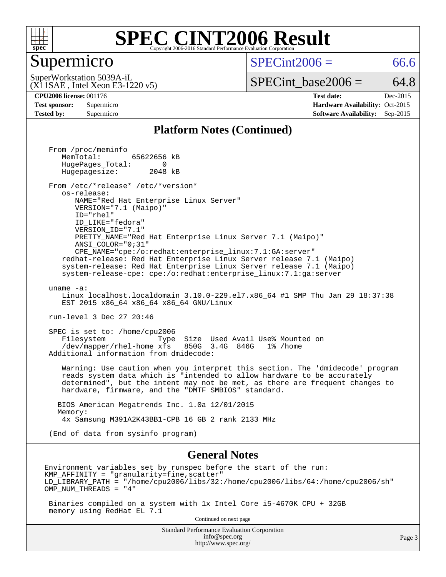

#### Supermicro

 $SPECint2006 = 66.6$  $SPECint2006 = 66.6$ 

(X11SAE , Intel Xeon E3-1220 v5) SuperWorkstation 5039A-iL

 $SPECTnt\_base2006 = 64.8$ 

**[CPU2006 license:](http://www.spec.org/auto/cpu2006/Docs/result-fields.html#CPU2006license)** 001176 **[Test date:](http://www.spec.org/auto/cpu2006/Docs/result-fields.html#Testdate)** Dec-2015 **[Test sponsor:](http://www.spec.org/auto/cpu2006/Docs/result-fields.html#Testsponsor)** Supermicro Supermicro **[Hardware Availability:](http://www.spec.org/auto/cpu2006/Docs/result-fields.html#HardwareAvailability)** Oct-2015 **[Tested by:](http://www.spec.org/auto/cpu2006/Docs/result-fields.html#Testedby)** Supermicro **Supermicro [Software Availability:](http://www.spec.org/auto/cpu2006/Docs/result-fields.html#SoftwareAvailability)** Sep-2015

#### **[Platform Notes \(Continued\)](http://www.spec.org/auto/cpu2006/Docs/result-fields.html#PlatformNotes)**

 From /proc/meminfo MemTotal: 65622656 kB HugePages\_Total: 0<br>Hugepagesize: 2048 kB Hugepagesize: From /etc/\*release\* /etc/\*version\* os-release: NAME="Red Hat Enterprise Linux Server" VERSION="7.1 (Maipo)" ID="rhel" ID\_LIKE="fedora" VERSION\_ID="7.1" PRETTY\_NAME="Red Hat Enterprise Linux Server 7.1 (Maipo)" ANSI\_COLOR="0;31" CPE\_NAME="cpe:/o:redhat:enterprise\_linux:7.1:GA:server" redhat-release: Red Hat Enterprise Linux Server release 7.1 (Maipo) system-release: Red Hat Enterprise Linux Server release 7.1 (Maipo) system-release-cpe: cpe:/o:redhat:enterprise\_linux:7.1:ga:server uname -a: Linux localhost.localdomain 3.10.0-229.el7.x86\_64 #1 SMP Thu Jan 29 18:37:38 EST 2015 x86\_64 x86\_64 x86\_64 GNU/Linux run-level 3 Dec 27 20:46 SPEC is set to: /home/cpu2006 Filesystem Type Size Used Avail Use% Mounted on /dev/mapper/rhel-home xfs 850G 3.4G 846G 1% /home Additional information from dmidecode: Warning: Use caution when you interpret this section. The 'dmidecode' program reads system data which is "intended to allow hardware to be accurately determined", but the intent may not be met, as there are frequent changes to hardware, firmware, and the "DMTF SMBIOS" standard. BIOS American Megatrends Inc. 1.0a 12/01/2015 Memory: 4x Samsung M391A2K43BB1-CPB 16 GB 2 rank 2133 MHz (End of data from sysinfo program) **[General Notes](http://www.spec.org/auto/cpu2006/Docs/result-fields.html#GeneralNotes)** Environment variables set by runspec before the start of the run:  $KMP$  AFFINITY = "granularity=fine, scatter" LD\_LIBRARY\_PATH = "/home/cpu2006/libs/32:/home/cpu2006/libs/64:/home/cpu2006/sh" OMP\_NUM\_THREADS = "4" Binaries compiled on a system with 1x Intel Core i5-4670K CPU + 32GB memory using RedHat EL 7.1 Continued on next page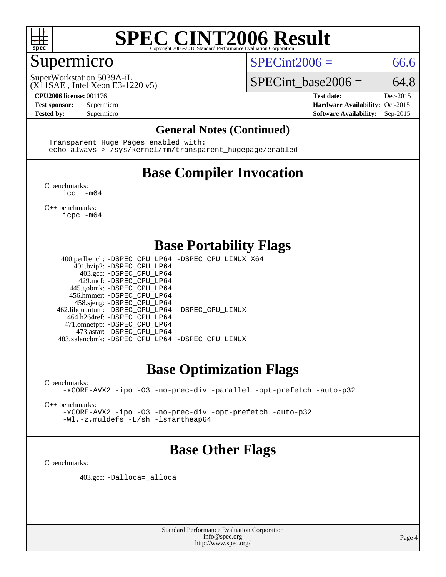

### Supermicro

 $SPECint2006 = 66.6$  $SPECint2006 = 66.6$ 

(X11SAE , Intel Xeon E3-1220 v5) SuperWorkstation 5039A-iL

SPECint base2006 =  $64.8$ 

**[CPU2006 license:](http://www.spec.org/auto/cpu2006/Docs/result-fields.html#CPU2006license)** 001176 **[Test date:](http://www.spec.org/auto/cpu2006/Docs/result-fields.html#Testdate)** Dec-2015 **[Test sponsor:](http://www.spec.org/auto/cpu2006/Docs/result-fields.html#Testsponsor)** Supermicro Supermicro **[Hardware Availability:](http://www.spec.org/auto/cpu2006/Docs/result-fields.html#HardwareAvailability)** Oct-2015 **[Tested by:](http://www.spec.org/auto/cpu2006/Docs/result-fields.html#Testedby)** Supermicro **Supermicro [Software Availability:](http://www.spec.org/auto/cpu2006/Docs/result-fields.html#SoftwareAvailability)** Sep-2015

#### **[General Notes \(Continued\)](http://www.spec.org/auto/cpu2006/Docs/result-fields.html#GeneralNotes)**

 Transparent Huge Pages enabled with: echo always > /sys/kernel/mm/transparent\_hugepage/enabled

## **[Base Compiler Invocation](http://www.spec.org/auto/cpu2006/Docs/result-fields.html#BaseCompilerInvocation)**

[C benchmarks](http://www.spec.org/auto/cpu2006/Docs/result-fields.html#Cbenchmarks):  $inc - m64$ 

[C++ benchmarks:](http://www.spec.org/auto/cpu2006/Docs/result-fields.html#CXXbenchmarks) [icpc -m64](http://www.spec.org/cpu2006/results/res2016q1/cpu2006-20160106-38581.flags.html#user_CXXbase_intel_icpc_64bit_fc66a5337ce925472a5c54ad6a0de310)

### **[Base Portability Flags](http://www.spec.org/auto/cpu2006/Docs/result-fields.html#BasePortabilityFlags)**

 400.perlbench: [-DSPEC\\_CPU\\_LP64](http://www.spec.org/cpu2006/results/res2016q1/cpu2006-20160106-38581.flags.html#b400.perlbench_basePORTABILITY_DSPEC_CPU_LP64) [-DSPEC\\_CPU\\_LINUX\\_X64](http://www.spec.org/cpu2006/results/res2016q1/cpu2006-20160106-38581.flags.html#b400.perlbench_baseCPORTABILITY_DSPEC_CPU_LINUX_X64) 401.bzip2: [-DSPEC\\_CPU\\_LP64](http://www.spec.org/cpu2006/results/res2016q1/cpu2006-20160106-38581.flags.html#suite_basePORTABILITY401_bzip2_DSPEC_CPU_LP64) 403.gcc: [-DSPEC\\_CPU\\_LP64](http://www.spec.org/cpu2006/results/res2016q1/cpu2006-20160106-38581.flags.html#suite_basePORTABILITY403_gcc_DSPEC_CPU_LP64) 429.mcf: [-DSPEC\\_CPU\\_LP64](http://www.spec.org/cpu2006/results/res2016q1/cpu2006-20160106-38581.flags.html#suite_basePORTABILITY429_mcf_DSPEC_CPU_LP64) 445.gobmk: [-DSPEC\\_CPU\\_LP64](http://www.spec.org/cpu2006/results/res2016q1/cpu2006-20160106-38581.flags.html#suite_basePORTABILITY445_gobmk_DSPEC_CPU_LP64) 456.hmmer: [-DSPEC\\_CPU\\_LP64](http://www.spec.org/cpu2006/results/res2016q1/cpu2006-20160106-38581.flags.html#suite_basePORTABILITY456_hmmer_DSPEC_CPU_LP64) 458.sjeng: [-DSPEC\\_CPU\\_LP64](http://www.spec.org/cpu2006/results/res2016q1/cpu2006-20160106-38581.flags.html#suite_basePORTABILITY458_sjeng_DSPEC_CPU_LP64) 462.libquantum: [-DSPEC\\_CPU\\_LP64](http://www.spec.org/cpu2006/results/res2016q1/cpu2006-20160106-38581.flags.html#suite_basePORTABILITY462_libquantum_DSPEC_CPU_LP64) [-DSPEC\\_CPU\\_LINUX](http://www.spec.org/cpu2006/results/res2016q1/cpu2006-20160106-38581.flags.html#b462.libquantum_baseCPORTABILITY_DSPEC_CPU_LINUX) 464.h264ref: [-DSPEC\\_CPU\\_LP64](http://www.spec.org/cpu2006/results/res2016q1/cpu2006-20160106-38581.flags.html#suite_basePORTABILITY464_h264ref_DSPEC_CPU_LP64) 471.omnetpp: [-DSPEC\\_CPU\\_LP64](http://www.spec.org/cpu2006/results/res2016q1/cpu2006-20160106-38581.flags.html#suite_basePORTABILITY471_omnetpp_DSPEC_CPU_LP64) 473.astar: [-DSPEC\\_CPU\\_LP64](http://www.spec.org/cpu2006/results/res2016q1/cpu2006-20160106-38581.flags.html#suite_basePORTABILITY473_astar_DSPEC_CPU_LP64) 483.xalancbmk: [-DSPEC\\_CPU\\_LP64](http://www.spec.org/cpu2006/results/res2016q1/cpu2006-20160106-38581.flags.html#suite_basePORTABILITY483_xalancbmk_DSPEC_CPU_LP64) [-DSPEC\\_CPU\\_LINUX](http://www.spec.org/cpu2006/results/res2016q1/cpu2006-20160106-38581.flags.html#b483.xalancbmk_baseCXXPORTABILITY_DSPEC_CPU_LINUX)

### **[Base Optimization Flags](http://www.spec.org/auto/cpu2006/Docs/result-fields.html#BaseOptimizationFlags)**

[C benchmarks](http://www.spec.org/auto/cpu2006/Docs/result-fields.html#Cbenchmarks):

[-xCORE-AVX2](http://www.spec.org/cpu2006/results/res2016q1/cpu2006-20160106-38581.flags.html#user_CCbase_f-xAVX2_5f5fc0cbe2c9f62c816d3e45806c70d7) [-ipo](http://www.spec.org/cpu2006/results/res2016q1/cpu2006-20160106-38581.flags.html#user_CCbase_f-ipo) [-O3](http://www.spec.org/cpu2006/results/res2016q1/cpu2006-20160106-38581.flags.html#user_CCbase_f-O3) [-no-prec-div](http://www.spec.org/cpu2006/results/res2016q1/cpu2006-20160106-38581.flags.html#user_CCbase_f-no-prec-div) [-parallel](http://www.spec.org/cpu2006/results/res2016q1/cpu2006-20160106-38581.flags.html#user_CCbase_f-parallel) [-opt-prefetch](http://www.spec.org/cpu2006/results/res2016q1/cpu2006-20160106-38581.flags.html#user_CCbase_f-opt-prefetch) [-auto-p32](http://www.spec.org/cpu2006/results/res2016q1/cpu2006-20160106-38581.flags.html#user_CCbase_f-auto-p32)

[C++ benchmarks:](http://www.spec.org/auto/cpu2006/Docs/result-fields.html#CXXbenchmarks)

[-xCORE-AVX2](http://www.spec.org/cpu2006/results/res2016q1/cpu2006-20160106-38581.flags.html#user_CXXbase_f-xAVX2_5f5fc0cbe2c9f62c816d3e45806c70d7) [-ipo](http://www.spec.org/cpu2006/results/res2016q1/cpu2006-20160106-38581.flags.html#user_CXXbase_f-ipo) [-O3](http://www.spec.org/cpu2006/results/res2016q1/cpu2006-20160106-38581.flags.html#user_CXXbase_f-O3) [-no-prec-div](http://www.spec.org/cpu2006/results/res2016q1/cpu2006-20160106-38581.flags.html#user_CXXbase_f-no-prec-div) [-opt-prefetch](http://www.spec.org/cpu2006/results/res2016q1/cpu2006-20160106-38581.flags.html#user_CXXbase_f-opt-prefetch) [-auto-p32](http://www.spec.org/cpu2006/results/res2016q1/cpu2006-20160106-38581.flags.html#user_CXXbase_f-auto-p32) [-Wl,-z,muldefs](http://www.spec.org/cpu2006/results/res2016q1/cpu2006-20160106-38581.flags.html#user_CXXbase_link_force_multiple1_74079c344b956b9658436fd1b6dd3a8a) [-L/sh -lsmartheap64](http://www.spec.org/cpu2006/results/res2016q1/cpu2006-20160106-38581.flags.html#user_CXXbase_SmartHeap64_ed4ef857ce90951921efb0d91eb88472)

### **[Base Other Flags](http://www.spec.org/auto/cpu2006/Docs/result-fields.html#BaseOtherFlags)**

[C benchmarks](http://www.spec.org/auto/cpu2006/Docs/result-fields.html#Cbenchmarks):

403.gcc: [-Dalloca=\\_alloca](http://www.spec.org/cpu2006/results/res2016q1/cpu2006-20160106-38581.flags.html#b403.gcc_baseEXTRA_CFLAGS_Dalloca_be3056838c12de2578596ca5467af7f3)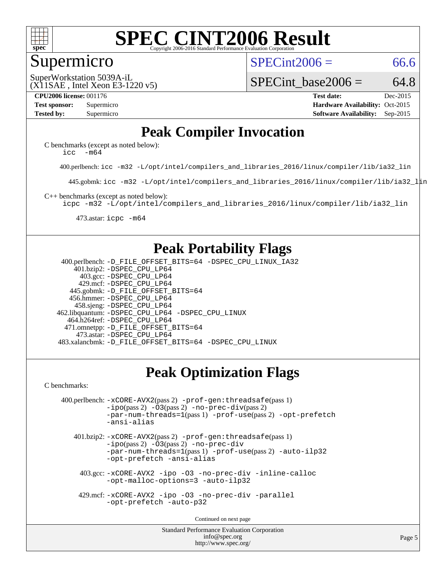

#### Supermicro

 $SPECint2006 = 66.6$  $SPECint2006 = 66.6$ 

(X11SAE , Intel Xeon E3-1220 v5) SuperWorkstation 5039A-iL

SPECint base2006 =  $64.8$ 

**[CPU2006 license:](http://www.spec.org/auto/cpu2006/Docs/result-fields.html#CPU2006license)** 001176 **[Test date:](http://www.spec.org/auto/cpu2006/Docs/result-fields.html#Testdate)** Dec-2015 **[Test sponsor:](http://www.spec.org/auto/cpu2006/Docs/result-fields.html#Testsponsor)** Supermicro **[Hardware Availability:](http://www.spec.org/auto/cpu2006/Docs/result-fields.html#HardwareAvailability)** Oct-2015 **[Tested by:](http://www.spec.org/auto/cpu2006/Docs/result-fields.html#Testedby)** Supermicro **Supermicro [Software Availability:](http://www.spec.org/auto/cpu2006/Docs/result-fields.html#SoftwareAvailability)** Sep-2015

### **[Peak Compiler Invocation](http://www.spec.org/auto/cpu2006/Docs/result-fields.html#PeakCompilerInvocation)**

[C benchmarks \(except as noted below\)](http://www.spec.org/auto/cpu2006/Docs/result-fields.html#Cbenchmarksexceptasnotedbelow): [icc -m64](http://www.spec.org/cpu2006/results/res2016q1/cpu2006-20160106-38581.flags.html#user_CCpeak_intel_icc_64bit_f346026e86af2a669e726fe758c88044)

400.perlbench: [icc -m32 -L/opt/intel/compilers\\_and\\_libraries\\_2016/linux/compiler/lib/ia32\\_lin](http://www.spec.org/cpu2006/results/res2016q1/cpu2006-20160106-38581.flags.html#user_peakCCLD400_perlbench_intel_icc_e10256ba5924b668798078a321b0cb3f)

445.gobmk: [icc -m32 -L/opt/intel/compilers\\_and\\_libraries\\_2016/linux/compiler/lib/ia32\\_lin](http://www.spec.org/cpu2006/results/res2016q1/cpu2006-20160106-38581.flags.html#user_peakCCLD445_gobmk_intel_icc_e10256ba5924b668798078a321b0cb3f)

[C++ benchmarks \(except as noted below\):](http://www.spec.org/auto/cpu2006/Docs/result-fields.html#CXXbenchmarksexceptasnotedbelow)

[icpc -m32 -L/opt/intel/compilers\\_and\\_libraries\\_2016/linux/compiler/lib/ia32\\_lin](http://www.spec.org/cpu2006/results/res2016q1/cpu2006-20160106-38581.flags.html#user_CXXpeak_intel_icpc_b4f50a394bdb4597aa5879c16bc3f5c5)

473.astar: [icpc -m64](http://www.spec.org/cpu2006/results/res2016q1/cpu2006-20160106-38581.flags.html#user_peakCXXLD473_astar_intel_icpc_64bit_fc66a5337ce925472a5c54ad6a0de310)

### **[Peak Portability Flags](http://www.spec.org/auto/cpu2006/Docs/result-fields.html#PeakPortabilityFlags)**

 400.perlbench: [-D\\_FILE\\_OFFSET\\_BITS=64](http://www.spec.org/cpu2006/results/res2016q1/cpu2006-20160106-38581.flags.html#user_peakPORTABILITY400_perlbench_file_offset_bits_64_438cf9856305ebd76870a2c6dc2689ab) [-DSPEC\\_CPU\\_LINUX\\_IA32](http://www.spec.org/cpu2006/results/res2016q1/cpu2006-20160106-38581.flags.html#b400.perlbench_peakCPORTABILITY_DSPEC_CPU_LINUX_IA32) 401.bzip2: [-DSPEC\\_CPU\\_LP64](http://www.spec.org/cpu2006/results/res2016q1/cpu2006-20160106-38581.flags.html#suite_peakPORTABILITY401_bzip2_DSPEC_CPU_LP64) 403.gcc: [-DSPEC\\_CPU\\_LP64](http://www.spec.org/cpu2006/results/res2016q1/cpu2006-20160106-38581.flags.html#suite_peakPORTABILITY403_gcc_DSPEC_CPU_LP64) 429.mcf: [-DSPEC\\_CPU\\_LP64](http://www.spec.org/cpu2006/results/res2016q1/cpu2006-20160106-38581.flags.html#suite_peakPORTABILITY429_mcf_DSPEC_CPU_LP64) 445.gobmk: [-D\\_FILE\\_OFFSET\\_BITS=64](http://www.spec.org/cpu2006/results/res2016q1/cpu2006-20160106-38581.flags.html#user_peakPORTABILITY445_gobmk_file_offset_bits_64_438cf9856305ebd76870a2c6dc2689ab) 456.hmmer: [-DSPEC\\_CPU\\_LP64](http://www.spec.org/cpu2006/results/res2016q1/cpu2006-20160106-38581.flags.html#suite_peakPORTABILITY456_hmmer_DSPEC_CPU_LP64) 458.sjeng: [-DSPEC\\_CPU\\_LP64](http://www.spec.org/cpu2006/results/res2016q1/cpu2006-20160106-38581.flags.html#suite_peakPORTABILITY458_sjeng_DSPEC_CPU_LP64) 462.libquantum: [-DSPEC\\_CPU\\_LP64](http://www.spec.org/cpu2006/results/res2016q1/cpu2006-20160106-38581.flags.html#suite_peakPORTABILITY462_libquantum_DSPEC_CPU_LP64) [-DSPEC\\_CPU\\_LINUX](http://www.spec.org/cpu2006/results/res2016q1/cpu2006-20160106-38581.flags.html#b462.libquantum_peakCPORTABILITY_DSPEC_CPU_LINUX) 464.h264ref: [-DSPEC\\_CPU\\_LP64](http://www.spec.org/cpu2006/results/res2016q1/cpu2006-20160106-38581.flags.html#suite_peakPORTABILITY464_h264ref_DSPEC_CPU_LP64) 471.omnetpp: [-D\\_FILE\\_OFFSET\\_BITS=64](http://www.spec.org/cpu2006/results/res2016q1/cpu2006-20160106-38581.flags.html#user_peakPORTABILITY471_omnetpp_file_offset_bits_64_438cf9856305ebd76870a2c6dc2689ab) 473.astar: [-DSPEC\\_CPU\\_LP64](http://www.spec.org/cpu2006/results/res2016q1/cpu2006-20160106-38581.flags.html#suite_peakPORTABILITY473_astar_DSPEC_CPU_LP64) 483.xalancbmk: [-D\\_FILE\\_OFFSET\\_BITS=64](http://www.spec.org/cpu2006/results/res2016q1/cpu2006-20160106-38581.flags.html#user_peakPORTABILITY483_xalancbmk_file_offset_bits_64_438cf9856305ebd76870a2c6dc2689ab) [-DSPEC\\_CPU\\_LINUX](http://www.spec.org/cpu2006/results/res2016q1/cpu2006-20160106-38581.flags.html#b483.xalancbmk_peakCXXPORTABILITY_DSPEC_CPU_LINUX)

### **[Peak Optimization Flags](http://www.spec.org/auto/cpu2006/Docs/result-fields.html#PeakOptimizationFlags)**

[C benchmarks](http://www.spec.org/auto/cpu2006/Docs/result-fields.html#Cbenchmarks):

```
 400.perlbench: -xCORE-AVX2(pass 2) -prof-gen:threadsafe(pass 1)
-no-prec-div(pass 2)-par-num-threads=1(pass 1) -prof-use(pass 2) -opt-prefetch
-ansi-alias
```
 401.bzip2: [-xCORE-AVX2](http://www.spec.org/cpu2006/results/res2016q1/cpu2006-20160106-38581.flags.html#user_peakPASS2_CFLAGSPASS2_LDCFLAGS401_bzip2_f-xAVX2_5f5fc0cbe2c9f62c816d3e45806c70d7)(pass 2) [-prof-gen:threadsafe](http://www.spec.org/cpu2006/results/res2016q1/cpu2006-20160106-38581.flags.html#user_peakPASS1_CFLAGSPASS1_LDCFLAGS401_bzip2_prof_gen_21a26eb79f378b550acd7bec9fe4467a)(pass 1)  $-i\text{po}(pass 2) -03(pass 2) -no-prec-div$  $-i\text{po}(pass 2) -03(pass 2) -no-prec-div$ [-par-num-threads=1](http://www.spec.org/cpu2006/results/res2016q1/cpu2006-20160106-38581.flags.html#user_peakPASS1_CFLAGSPASS1_LDCFLAGS401_bzip2_par_num_threads_786a6ff141b4e9e90432e998842df6c2)(pass 1) [-prof-use](http://www.spec.org/cpu2006/results/res2016q1/cpu2006-20160106-38581.flags.html#user_peakPASS2_CFLAGSPASS2_LDCFLAGS401_bzip2_prof_use_bccf7792157ff70d64e32fe3e1250b55)(pass 2) [-auto-ilp32](http://www.spec.org/cpu2006/results/res2016q1/cpu2006-20160106-38581.flags.html#user_peakCOPTIMIZE401_bzip2_f-auto-ilp32) [-opt-prefetch](http://www.spec.org/cpu2006/results/res2016q1/cpu2006-20160106-38581.flags.html#user_peakCOPTIMIZE401_bzip2_f-opt-prefetch) [-ansi-alias](http://www.spec.org/cpu2006/results/res2016q1/cpu2006-20160106-38581.flags.html#user_peakCOPTIMIZE401_bzip2_f-ansi-alias)

 403.gcc: [-xCORE-AVX2](http://www.spec.org/cpu2006/results/res2016q1/cpu2006-20160106-38581.flags.html#user_peakCOPTIMIZE403_gcc_f-xAVX2_5f5fc0cbe2c9f62c816d3e45806c70d7) [-ipo](http://www.spec.org/cpu2006/results/res2016q1/cpu2006-20160106-38581.flags.html#user_peakCOPTIMIZE403_gcc_f-ipo) [-O3](http://www.spec.org/cpu2006/results/res2016q1/cpu2006-20160106-38581.flags.html#user_peakCOPTIMIZE403_gcc_f-O3) [-no-prec-div](http://www.spec.org/cpu2006/results/res2016q1/cpu2006-20160106-38581.flags.html#user_peakCOPTIMIZE403_gcc_f-no-prec-div) [-inline-calloc](http://www.spec.org/cpu2006/results/res2016q1/cpu2006-20160106-38581.flags.html#user_peakCOPTIMIZE403_gcc_f-inline-calloc) [-opt-malloc-options=3](http://www.spec.org/cpu2006/results/res2016q1/cpu2006-20160106-38581.flags.html#user_peakCOPTIMIZE403_gcc_f-opt-malloc-options_13ab9b803cf986b4ee62f0a5998c2238) [-auto-ilp32](http://www.spec.org/cpu2006/results/res2016q1/cpu2006-20160106-38581.flags.html#user_peakCOPTIMIZE403_gcc_f-auto-ilp32)

 429.mcf: [-xCORE-AVX2](http://www.spec.org/cpu2006/results/res2016q1/cpu2006-20160106-38581.flags.html#user_peakCOPTIMIZE429_mcf_f-xAVX2_5f5fc0cbe2c9f62c816d3e45806c70d7) [-ipo](http://www.spec.org/cpu2006/results/res2016q1/cpu2006-20160106-38581.flags.html#user_peakCOPTIMIZE429_mcf_f-ipo) [-O3](http://www.spec.org/cpu2006/results/res2016q1/cpu2006-20160106-38581.flags.html#user_peakCOPTIMIZE429_mcf_f-O3) [-no-prec-div](http://www.spec.org/cpu2006/results/res2016q1/cpu2006-20160106-38581.flags.html#user_peakCOPTIMIZE429_mcf_f-no-prec-div) [-parallel](http://www.spec.org/cpu2006/results/res2016q1/cpu2006-20160106-38581.flags.html#user_peakCOPTIMIZE429_mcf_f-parallel) [-opt-prefetch](http://www.spec.org/cpu2006/results/res2016q1/cpu2006-20160106-38581.flags.html#user_peakCOPTIMIZE429_mcf_f-opt-prefetch) [-auto-p32](http://www.spec.org/cpu2006/results/res2016q1/cpu2006-20160106-38581.flags.html#user_peakCOPTIMIZE429_mcf_f-auto-p32)

Continued on next page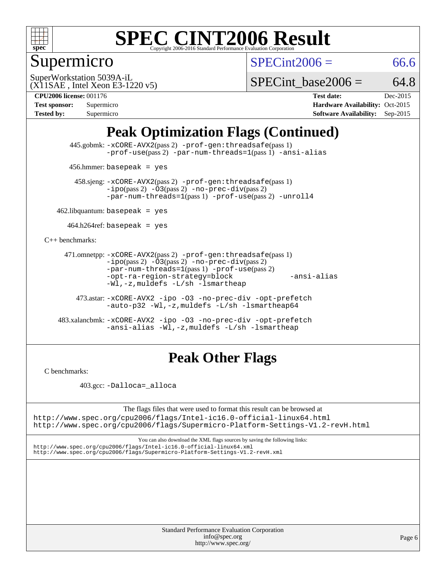

## Supermicro

 $SPECint2006 = 66.6$  $SPECint2006 = 66.6$ 

(X11SAE , Intel Xeon E3-1220 v5) SuperWorkstation 5039A-iL

SPECint base2006 =  $64.8$ 

**[CPU2006 license:](http://www.spec.org/auto/cpu2006/Docs/result-fields.html#CPU2006license)** 001176 **[Test date:](http://www.spec.org/auto/cpu2006/Docs/result-fields.html#Testdate)** Dec-2015

| <b>Test sponsor:</b> | Supermicro |
|----------------------|------------|
| <b>Tested by:</b>    | Supermicro |

**[Hardware Availability:](http://www.spec.org/auto/cpu2006/Docs/result-fields.html#HardwareAvailability)** Oct-2015 **[Software Availability:](http://www.spec.org/auto/cpu2006/Docs/result-fields.html#SoftwareAvailability)** Sep-2015

### **[Peak Optimization Flags \(Continued\)](http://www.spec.org/auto/cpu2006/Docs/result-fields.html#PeakOptimizationFlags)**

 445.gobmk: [-xCORE-AVX2](http://www.spec.org/cpu2006/results/res2016q1/cpu2006-20160106-38581.flags.html#user_peakPASS2_CFLAGSPASS2_LDCFLAGS445_gobmk_f-xAVX2_5f5fc0cbe2c9f62c816d3e45806c70d7)(pass 2) [-prof-gen:threadsafe](http://www.spec.org/cpu2006/results/res2016q1/cpu2006-20160106-38581.flags.html#user_peakPASS1_CFLAGSPASS1_LDCFLAGS445_gobmk_prof_gen_21a26eb79f378b550acd7bec9fe4467a)(pass 1) [-prof-use](http://www.spec.org/cpu2006/results/res2016q1/cpu2006-20160106-38581.flags.html#user_peakPASS2_CFLAGSPASS2_LDCFLAGS445_gobmk_prof_use_bccf7792157ff70d64e32fe3e1250b55)(pass 2) [-par-num-threads=1](http://www.spec.org/cpu2006/results/res2016q1/cpu2006-20160106-38581.flags.html#user_peakPASS1_CFLAGSPASS1_LDCFLAGS445_gobmk_par_num_threads_786a6ff141b4e9e90432e998842df6c2)(pass 1) [-ansi-alias](http://www.spec.org/cpu2006/results/res2016q1/cpu2006-20160106-38581.flags.html#user_peakCOPTIMIZE445_gobmk_f-ansi-alias)

456.hmmer: basepeak = yes

 458.sjeng: [-xCORE-AVX2](http://www.spec.org/cpu2006/results/res2016q1/cpu2006-20160106-38581.flags.html#user_peakPASS2_CFLAGSPASS2_LDCFLAGS458_sjeng_f-xAVX2_5f5fc0cbe2c9f62c816d3e45806c70d7)(pass 2) [-prof-gen:threadsafe](http://www.spec.org/cpu2006/results/res2016q1/cpu2006-20160106-38581.flags.html#user_peakPASS1_CFLAGSPASS1_LDCFLAGS458_sjeng_prof_gen_21a26eb79f378b550acd7bec9fe4467a)(pass 1)  $-ipo(pass 2) -\overline{O3(pass 2)}$  $-ipo(pass 2) -\overline{O3(pass 2)}$  [-no-prec-div](http://www.spec.org/cpu2006/results/res2016q1/cpu2006-20160106-38581.flags.html#user_peakPASS2_CFLAGSPASS2_LDCFLAGS458_sjeng_f-no-prec-div)(pass 2) [-par-num-threads=1](http://www.spec.org/cpu2006/results/res2016q1/cpu2006-20160106-38581.flags.html#user_peakPASS1_CFLAGSPASS1_LDCFLAGS458_sjeng_par_num_threads_786a6ff141b4e9e90432e998842df6c2)(pass 1) [-prof-use](http://www.spec.org/cpu2006/results/res2016q1/cpu2006-20160106-38581.flags.html#user_peakPASS2_CFLAGSPASS2_LDCFLAGS458_sjeng_prof_use_bccf7792157ff70d64e32fe3e1250b55)(pass 2) [-unroll4](http://www.spec.org/cpu2006/results/res2016q1/cpu2006-20160106-38581.flags.html#user_peakCOPTIMIZE458_sjeng_f-unroll_4e5e4ed65b7fd20bdcd365bec371b81f)

 $462$ .libquantum: basepeak = yes

 $464.h264$ ref: basepeak = yes

[C++ benchmarks:](http://www.spec.org/auto/cpu2006/Docs/result-fields.html#CXXbenchmarks)

```
 471.omnetpp: -xCORE-AVX2(pass 2) -prof-gen:threadsafe(pass 1)
-i\text{po}(pass 2) -03(pass 2) -no-prec-div(pass 2)-par-num-threads=1(pass 1) -prof-use(pass 2)
-opt-ra-region-strategy=block -ansi-alias
-Wl,-z,muldefs -L/sh -lsmartheap
```
 473.astar: [-xCORE-AVX2](http://www.spec.org/cpu2006/results/res2016q1/cpu2006-20160106-38581.flags.html#user_peakCXXOPTIMIZE473_astar_f-xAVX2_5f5fc0cbe2c9f62c816d3e45806c70d7) [-ipo](http://www.spec.org/cpu2006/results/res2016q1/cpu2006-20160106-38581.flags.html#user_peakCXXOPTIMIZE473_astar_f-ipo) [-O3](http://www.spec.org/cpu2006/results/res2016q1/cpu2006-20160106-38581.flags.html#user_peakCXXOPTIMIZE473_astar_f-O3) [-no-prec-div](http://www.spec.org/cpu2006/results/res2016q1/cpu2006-20160106-38581.flags.html#user_peakCXXOPTIMIZE473_astar_f-no-prec-div) [-opt-prefetch](http://www.spec.org/cpu2006/results/res2016q1/cpu2006-20160106-38581.flags.html#user_peakCXXOPTIMIZE473_astar_f-opt-prefetch) [-auto-p32](http://www.spec.org/cpu2006/results/res2016q1/cpu2006-20160106-38581.flags.html#user_peakCXXOPTIMIZE473_astar_f-auto-p32) [-Wl,-z,muldefs](http://www.spec.org/cpu2006/results/res2016q1/cpu2006-20160106-38581.flags.html#user_peakEXTRA_LDFLAGS473_astar_link_force_multiple1_74079c344b956b9658436fd1b6dd3a8a) [-L/sh -lsmartheap64](http://www.spec.org/cpu2006/results/res2016q1/cpu2006-20160106-38581.flags.html#user_peakEXTRA_LIBS473_astar_SmartHeap64_ed4ef857ce90951921efb0d91eb88472)

 483.xalancbmk: [-xCORE-AVX2](http://www.spec.org/cpu2006/results/res2016q1/cpu2006-20160106-38581.flags.html#user_peakCXXOPTIMIZE483_xalancbmk_f-xAVX2_5f5fc0cbe2c9f62c816d3e45806c70d7) [-ipo](http://www.spec.org/cpu2006/results/res2016q1/cpu2006-20160106-38581.flags.html#user_peakCXXOPTIMIZE483_xalancbmk_f-ipo) [-O3](http://www.spec.org/cpu2006/results/res2016q1/cpu2006-20160106-38581.flags.html#user_peakCXXOPTIMIZE483_xalancbmk_f-O3) [-no-prec-div](http://www.spec.org/cpu2006/results/res2016q1/cpu2006-20160106-38581.flags.html#user_peakCXXOPTIMIZE483_xalancbmk_f-no-prec-div) [-opt-prefetch](http://www.spec.org/cpu2006/results/res2016q1/cpu2006-20160106-38581.flags.html#user_peakCXXOPTIMIZE483_xalancbmk_f-opt-prefetch) [-ansi-alias](http://www.spec.org/cpu2006/results/res2016q1/cpu2006-20160106-38581.flags.html#user_peakCXXOPTIMIZE483_xalancbmk_f-ansi-alias) [-Wl,-z,muldefs](http://www.spec.org/cpu2006/results/res2016q1/cpu2006-20160106-38581.flags.html#user_peakEXTRA_LDFLAGS483_xalancbmk_link_force_multiple1_74079c344b956b9658436fd1b6dd3a8a) [-L/sh -lsmartheap](http://www.spec.org/cpu2006/results/res2016q1/cpu2006-20160106-38581.flags.html#user_peakEXTRA_LIBS483_xalancbmk_SmartHeap_32f6c82aa1ed9c52345d30cf6e4a0499)

### **[Peak Other Flags](http://www.spec.org/auto/cpu2006/Docs/result-fields.html#PeakOtherFlags)**

[C benchmarks](http://www.spec.org/auto/cpu2006/Docs/result-fields.html#Cbenchmarks):

403.gcc: [-Dalloca=\\_alloca](http://www.spec.org/cpu2006/results/res2016q1/cpu2006-20160106-38581.flags.html#b403.gcc_peakEXTRA_CFLAGS_Dalloca_be3056838c12de2578596ca5467af7f3)

The flags files that were used to format this result can be browsed at <http://www.spec.org/cpu2006/flags/Intel-ic16.0-official-linux64.html>

<http://www.spec.org/cpu2006/flags/Supermicro-Platform-Settings-V1.2-revH.html>

You can also download the XML flags sources by saving the following links: <http://www.spec.org/cpu2006/flags/Intel-ic16.0-official-linux64.xml> <http://www.spec.org/cpu2006/flags/Supermicro-Platform-Settings-V1.2-revH.xml>